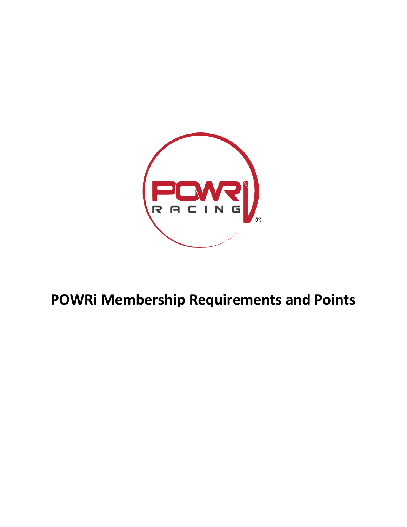

## **POWRi Membership Requirements and Points**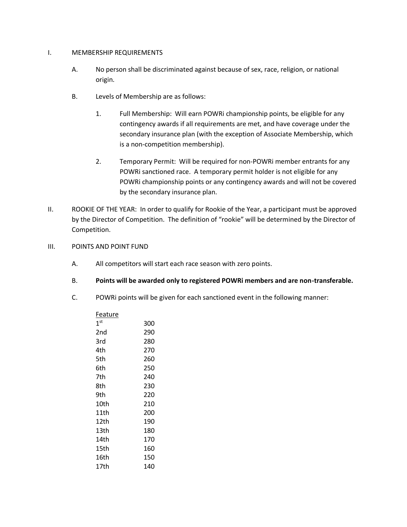## I. MEMBERSHIP REQUIREMENTS

- A. No person shall be discriminated against because of sex, race, religion, or national origin.
- B. Levels of Membership are as follows:
	- 1. Full Membership: Will earn POWRi championship points, be eligible for any contingency awards if all requirements are met, and have coverage under the secondary insurance plan (with the exception of Associate Membership, which is a non-competition membership).
	- 2. Temporary Permit: Will be required for non-POWRi member entrants for any POWRi sanctioned race. A temporary permit holder is not eligible for any POWRi championship points or any contingency awards and will not be covered by the secondary insurance plan.
- II. ROOKIE OF THE YEAR: In order to qualify for Rookie of the Year, a participant must be approved by the Director of Competition. The definition of "rookie" will be determined by the Director of Competition.
- III. POINTS AND POINT FUND
	- A. All competitors will start each race season with zero points.
	- B. **Points will be awarded only to registered POWRi members and are non-transferable.**
	- C. POWRi points will be given for each sanctioned event in the following manner:

| Feature         |     |
|-----------------|-----|
| 1 <sup>st</sup> | 300 |
| 2nd             | 290 |
| 3rd             | 280 |
| 4th             | 270 |
| 5th             | 260 |
| 6th             | 250 |
| 7th             | 240 |
| 8th             | 230 |
| 9th             | 220 |
| 10th            | 210 |
| 11th            | 200 |
| 12th            | 190 |
| 13th            | 180 |
| 14th            | 170 |
| 15th            | 160 |
| 16th            | 150 |
| 17th            | 140 |